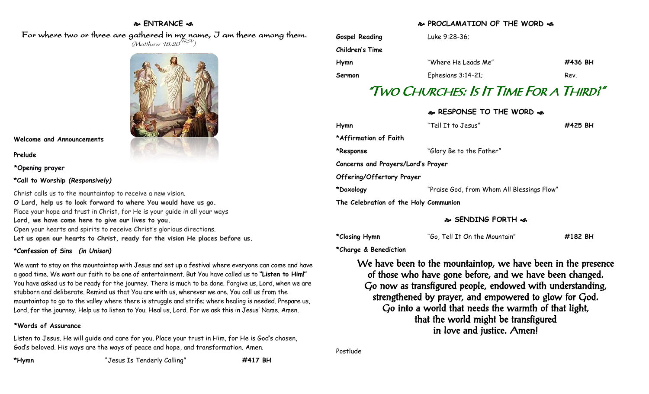## **ENTRANCE**

 For where two or three are gathered in my name, I am there among them.  $(M$ atthew 18:20 $^{NRSV})$ 



**Welcome and Announcements**

**Prelude**

**\*Opening prayer**

**\*Call to Worship** *(Responsively)*

Christ calls us to the mountaintop to receive a new vision. **O Lord, help us to look forward to where You would have us go.** Place your hope and trust in Christ, for He is your guide in all your ways **Lord, we have come here to give our lives to you.** Open your hearts and spirits to receive Christ's glorious directions. **Let us open our hearts to Christ, ready for the vision He places before us.**

### **\*Confession of Sins** *(in Unison)*

We want to stay on the mountaintop with Jesus and set up a festival where everyone can come and have a good time. We want our faith to be one of entertainment. But You have called us to **"Listen to Him!"** You have asked us to be ready for the journey. There is much to be done. Forgive us, Lord, when we are stubborn and deliberate. Remind us that You are with us, wherever we are. You call us from the mountaintop to go to the valley where there is struggle and strife; where healing is needed. Prepare us, Lord, for the journey. Help us to listen to You. Heal us, Lord. For we ask this in Jesus' Name. Amen.

## **\*Words of Assurance**

Listen to Jesus. He will guide and care for you. Place your trust in Him, for He is God's chosen, God's beloved. His ways are the ways of peace and hope, and transformation. Amen.

### **PROCLAMATION OF THE WORD**

| Gospel Reading  | Luke 9:28-36:       |         |
|-----------------|---------------------|---------|
| Children's Time |                     |         |
| Hymn            | "Where He Leads Me" | #436 BH |
| Sermon          | Ephesians 3:14-21;  | Rev.    |

# "TWO CHURCHES: IS IT TIME FOR A THIRD?"

# **RESPONSE TO THE WORD**

| Hymn                                  | "Tell It to Jesus"                         | #425 BH |
|---------------------------------------|--------------------------------------------|---------|
| *Affirmation of Faith                 |                                            |         |
| *Response                             | "Glory Be to the Father"                   |         |
| Concerns and Prayers/Lord's Prayer    |                                            |         |
| Offering/Offertory Prayer             |                                            |         |
| *Doxology                             | "Praise God, from Whom All Blessings Flow" |         |
| The Celebration of the Holy Communion |                                            |         |

**SENDING FORTH** 

**\*Closing Hymn** "Go, Tell It On the Mountain" **#182 BH**

**\*Charge & Benediction**

We have been to the mountaintop, we have been in the presence of those who have gone before, and we have been changed. Go now as transfigured people, endowed with understanding, strengthened by prayer, and empowered to glow for God. Go into a world that needs the warmth of that light, that the world might be transfigured in love and justice. Amen!

Postlude